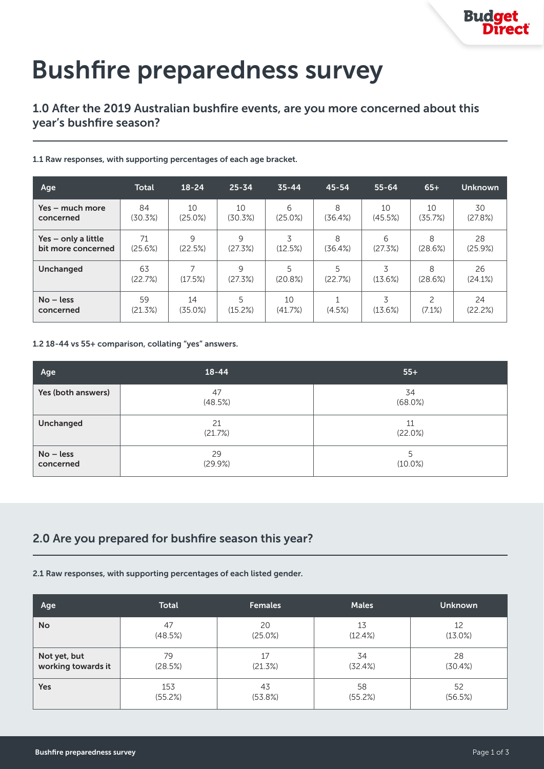# Bushfire preparedness survey

## 1.0 After the 2019 Australian bushfire events, are you more concerned about this year's bushfire season?

## 1.1 Raw responses, with supporting percentages of each age bracket.

| Age                 | <b>Total</b>  | $18 - 24$ | $25 - 34$    | $35 - 44$    | 45-54        | $55 - 64$    | $65+$         | Unknown       |
|---------------------|---------------|-----------|--------------|--------------|--------------|--------------|---------------|---------------|
| Yes – much more     | 84            | 10        | 10           | 6            | 8            | 10           | 10            | 30            |
| concerned           | (30.3%)       | (25.0%)   | (30.3%)      | (25.0%)      | (36.4%)      | (45.5%)      | (35.7%)       | (27.8%)       |
| Yes – only a little | 71            | $\circ$   | 9            | 3            | 8            | 6            | 8             | 28            |
| bit more concerned  | (25.6%)       | (22.5%)   | (27.3%)      | (12.5%)      | (36.4%)      | (27.3%)      | (28.6%)       | (25.9%)       |
| Unchanged           | 63<br>(22.7%) | (17.5%)   | 9<br>(27.3%) | 5<br>(20.8%) | 5<br>(22.7%) | 3<br>(13.6%) | 8<br>(28.6%)  | 26<br>(24.1%) |
| $No - less$         | 59            | 14        | 5            | 10           | (4.5%)       | 3            | $\mathcal{P}$ | 24            |
| concerned           | (21.3%)       | (35.0%)   | (15.2%)      | (41.7%)      |              | (13.6%)      | (7.1%)        | (22.2%)       |

### 1.2 18-44 vs 55+ comparison, collating "yes" answers.

| Age                      | $18 - 44$     | $55+$           |
|--------------------------|---------------|-----------------|
| Yes (both answers)       | 47<br>(48.5%) | 34<br>(68.0%)   |
| Unchanged                | 21<br>(21.7%) | 11<br>(22.0%)   |
| $No - less$<br>concerned | 29<br>(29.9%) | 5<br>$(10.0\%)$ |

# 2.0 Are you prepared for bushfire season this year?

## 2.1 Raw responses, with supporting percentages of each listed gender.

| Age                | <b>Total</b> | <b>Females</b> | <b>Males</b> | <b>Unknown</b> |
|--------------------|--------------|----------------|--------------|----------------|
| <b>No</b>          | 47           | 20             | 13           | 12             |
|                    | (48.5%)      | (25.0%)        | (12.4%)      | $(13.0\%)$     |
| Not yet, but       | 79           | 17             | 34           | 28             |
| working towards it | (28.5%)      | (21.3%)        | (32.4%)      | (30.4%)        |
| Yes                | 153          | 43             | 58           | 52             |
|                    | (55.2%)      | (53.8%)        | (55.2%)      | (56.5%)        |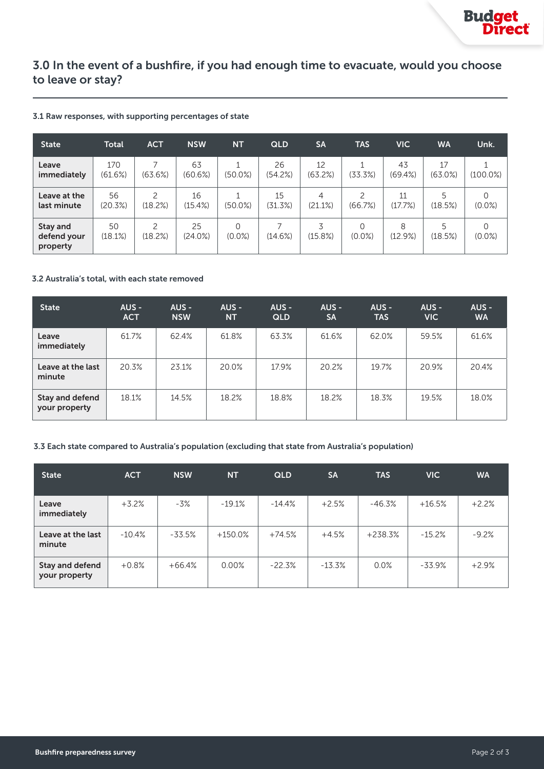## 3.0 In the event of a bushfire, if you had enough time to evacuate, would you choose to leave or stay?

#### 3.1 Raw responses, with supporting percentages of state

| <b>State</b>                        | <b>Total</b>   | <b>ACT</b>   | <b>NSW</b>    | <b>NT</b>             | <b>QLD</b>    | <b>SA</b>     | <b>TAS</b>               | <b>VIC</b>    | <b>WA</b>        | Unk.        |
|-------------------------------------|----------------|--------------|---------------|-----------------------|---------------|---------------|--------------------------|---------------|------------------|-------------|
| Leave<br>immediately                | 170<br>(61.6%) | (63.6%)      | 63<br>(60.6%) | $(50.0\%)$            | 26<br>(54.2%) | 12<br>(63.2%) | (33.3%)                  | 43<br>(69.4%) | 17<br>$(63.0\%)$ | $(100.0\%)$ |
| Leave at the<br>last minute         | 56<br>(20.3%)  | 2<br>(18.2%) | 16<br>(15.4%) | 1<br>$(50.0\%)$       | 15<br>(31.3%) | 4<br>(21.1%)  | $\mathcal{P}$<br>(66.7%) | 11<br>(17.7%) | 5<br>(18.5%)     | $(0.0\%)$   |
| Stay and<br>defend your<br>property | 50<br>(18.1%)  | 2<br>(18.2%) | 25<br>(24.0%) | $\Omega$<br>$(0.0\%)$ | (14.6%)       | 3<br>(15.8%)  | 0<br>$(0.0\%)$           | 8<br>(12.9%)  | 5<br>(18.5%)     | $(0.0\%)$   |

#### 3.2 Australia's total, with each state removed

| <b>State</b>                     | AUS -<br><b>ACT</b> | AUS -<br><b>NSW</b> | $AUS -$<br><b>NT</b> | AUS -<br><b>QLD</b> | AUS -<br><b>SA</b> | AUS -<br><b>TAS</b> | $AUS -$<br><b>VIC</b> | $AUS -$<br><b>WA</b> |
|----------------------------------|---------------------|---------------------|----------------------|---------------------|--------------------|---------------------|-----------------------|----------------------|
| Leave<br>immediately             | 61.7%               | 62.4%               | 61.8%                | 63.3%               | 61.6%              | 62.0%               | 59.5%                 | 61.6%                |
| Leave at the last<br>minute      | 20.3%               | 23.1%               | 20.0%                | 17.9%               | 20.2%              | 19.7%               | 20.9%                 | 20.4%                |
| Stay and defend<br>your property | 18.1%               | 14.5%               | 18.2%                | 18.8%               | 18.2%              | 18.3%               | 19.5%                 | 18.0%                |

#### 3.3 Each state compared to Australia's population (excluding that state from Australia's population)

| <b>State</b>                            | <b>ACT</b> | <b>NSW</b> | <b>NT</b> | <b>QLD</b> | <b>SA</b> | <b>TAS</b> | <b>VIC</b> | <b>WA</b> |
|-----------------------------------------|------------|------------|-----------|------------|-----------|------------|------------|-----------|
| Leave<br>immediately                    | $+3.2%$    | $-3%$      | $-19.1%$  | $-14.4\%$  | $+2.5%$   | $-46.3%$   | $+16.5%$   | $+2.2%$   |
| Leave at the last<br>minute             | $-10.4%$   | $-33.5%$   | $+150.0%$ | $+74.5%$   | $+4.5%$   | $+238.3%$  | $-15.2%$   | $-9.2%$   |
| <b>Stay and defend</b><br>your property | $+0.8%$    | $+66.4%$   | 0.00%     | $-22.3%$   | $-13.3\%$ | 0.0%       | -33.9%     | $+2.9%$   |